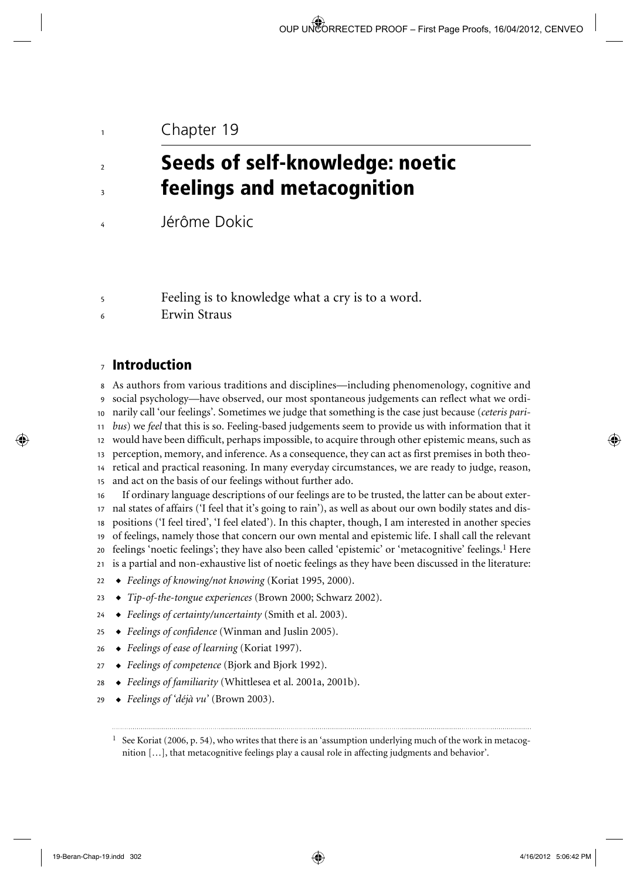## 1 Chapter 19

# **Seeds of self-knowledge: noetic feelings and metacognition**

4 Jérôme Dokic

5 Feeling is to knowledge what a cry is to a word.

Erwin Straus

#### 7  **Introduction**

6

⊕

3

 $\overline{2}$ 

15 14 13 12 11 10 9 8 As authors from various traditions and disciplines — including phenomenology, cognitive and social psychology — have observed, our most spontaneous judgements can reflect what we ordinarily call 'our feelings'. Sometimes we judge that something is the case just because ( *ceteris paribus* ) we *feel* that this is so. Feeling-based judgements seem to provide us with information that it would have been difficult, perhaps impossible, to acquire through other epistemic means, such as perception, memory, and inference. As a consequence, they can act as first premises in both theoretical and practical reasoning. In many everyday circumstances, we are ready to judge, reason, and act on the basis of our feelings without further ado.

21 20 19 18 17 16 If ordinary language descriptions of our feelings are to be trusted, the latter can be about external states of affairs ('I feel that it's going to rain'), as well as about our own bodily states and dispositions ('I feel tired', 'I feel elated'). In this chapter, though, I am interested in another species of feelings, namely those that concern our own mental and epistemic life. I shall call the relevant feelings 'noetic feelings'; they have also been called 'epistemic' or 'metacognitive' feelings. 1 Here is a partial and non-exhaustive list of noetic feelings as they have been discussed in the literature:

- 22 ◆ *Feelings of knowing/not knowing* (Koriat 1995, 2000).
- 23 ◆ *Tip-of-the-tongue experiences* (Brown 2000; Schwarz 2002).
- 24 ◆ *Feelings of certainty/uncertainty* (Smith et al. 2003 ).
- 25 ◆ *Feelings of confidence* (Winman and Juslin 2005 ).
- 26 ◆ *Feelings of ease of learning* (Koriat 1997 ).
- 27 ◆ *Feelings of competence* (Bjork and Bjork 1992 ).
- 28 ◆ *Feelings of familiarity* (Whittlesea et al. 2001a, 2001b).
- 29 ◆ *Feelings of 'déjà vu'* (Brown 2003 ).

See Koriat (2006, p. 54), who writes that there is an 'assumption underlying much of the work in metacognition [...], that metacognitive feelings play a causal role in affecting judgments and behavior'.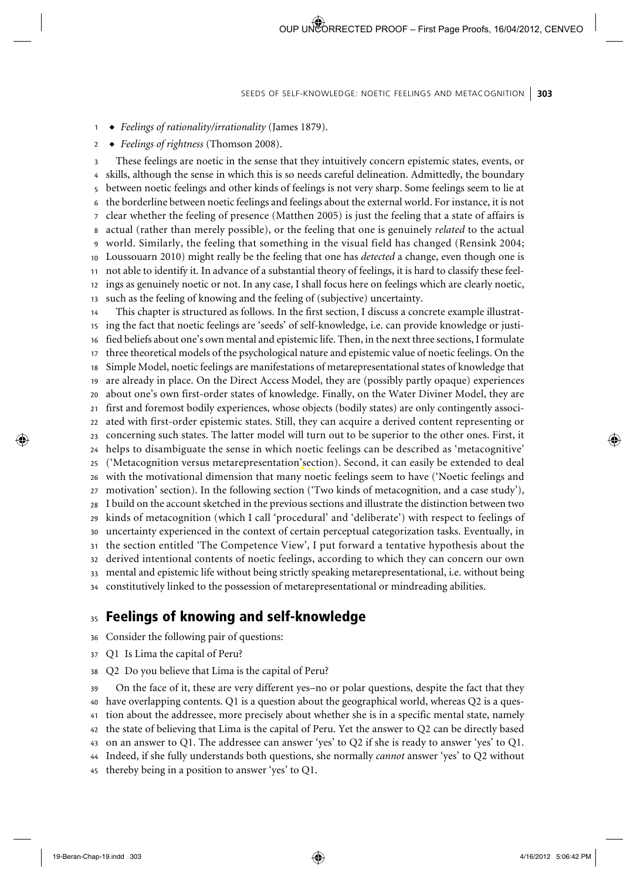1 ◆ *Feelings of rationality/irrationality* (James 1879 ).

2 ◆ *Feelings of rightness* (Thomson 2008 ).

13 12 11 10 9 8 7 6 5 4 3 These feelings are noetic in the sense that they intuitively concern epistemic states, events, or skills, although the sense in which this is so needs careful delineation. Admittedly, the boundary between noetic feelings and other kinds of feelings is not very sharp. Some feelings seem to lie at the borderline between noetic feelings and feelings about the external world. For instance, it is not clear whether the feeling of presence (Matthen 2005 ) is just the feeling that a state of affairs is actual (rather than merely possible), or the feeling that one is genuinely *related* to the actual world. Similarly, the feeling that something in the visual field has changed (Rensink 2004; Loussouarn 2010 ) might really be the feeling that one has *detected* a change, even though one is not able to identify it. In advance of a substantial theory of feelings, it is hard to classify these feelings as genuinely noetic or not. In any case, I shall focus here on feelings which are clearly noetic, such as the feeling of knowing and the feeling of (subjective) uncertainty.

34 33 32 31 30 29 28 27 26 25 24 23 22 21 20 19 18 17 16 15 14 This chapter is structured as follows. In the first section, I discuss a concrete example illustrating the fact that noetic feelings are 'seeds' of self-knowledge, i.e. can provide knowledge or justified beliefs about one's own mental and epistemic life. Then, in the next three sections, I formulate three theoretical models of the psychological nature and epistemic value of noetic feelings. On the Simple Model, noetic feelings are manifestations of metarepresentational states of knowledge that are already in place. On the Direct Access Model, they are (possibly partly opaque) experiences about one's own first-order states of knowledge. Finally, on the Water Diviner Model, they are first and foremost bodily experiences, whose objects (bodily states) are only contingently associated with first-order epistemic states. Still, they can acquire a derived content representing or concerning such states. The latter model will turn out to be superior to the other ones. First, it helps to disambiguate the sense in which noetic feelings can be described as 'metacognitive' ('Metacognition versus metarepresentation'section). Second, it can easily be extended to deal with the motivational dimension that many noetic feelings seem to have ('Noetic feelings and motivation' section). In the following section ('Two kinds of metacognition, and a case study'), I build on the account sketched in the previous sections and illustrate the distinction between two kinds of metacognition (which I call 'procedural' and 'deliberate') with respect to feelings of uncertainty experienced in the context of certain perceptual categorization tasks. Eventually, in the section entitled 'The Competence View', I put forward a tentative hypothesis about the derived intentional contents of noetic feelings, according to which they can concern our own mental and epistemic life without being strictly speaking metarepresentational, i.e. without being constitutively linked to the possession of metarepresentational or mindreading abilities.

#### 35 **Feelings of knowing and self-knowledge**

- 36 Consider the following pair of questions:
- 37 Q1 Is Lima the capital of Peru?
- 38 Q2 Do you believe that Lima is the capital of Peru?

39 On the face of it, these are very different yes–no or polar questions, despite the fact that they

40 have overlapping contents. Q1 is a question about the geographical world, whereas Q2 is a ques-

41 tion about the addressee, more precisely about whether she is in a specific mental state, namely

- 42 the state of believing that Lima is the capital of Peru. Yet the answer to Q2 can be directly based
- 43 on an answer to Q1. The addressee can answer 'yes' to Q2 if she is ready to answer 'yes' to Q1.
- 44 Indeed, if she fully understands both questions, she normally *cannot* answer 'yes' to Q2 without
- 45 thereby being in a position to answer 'yes' to Q1.

⊕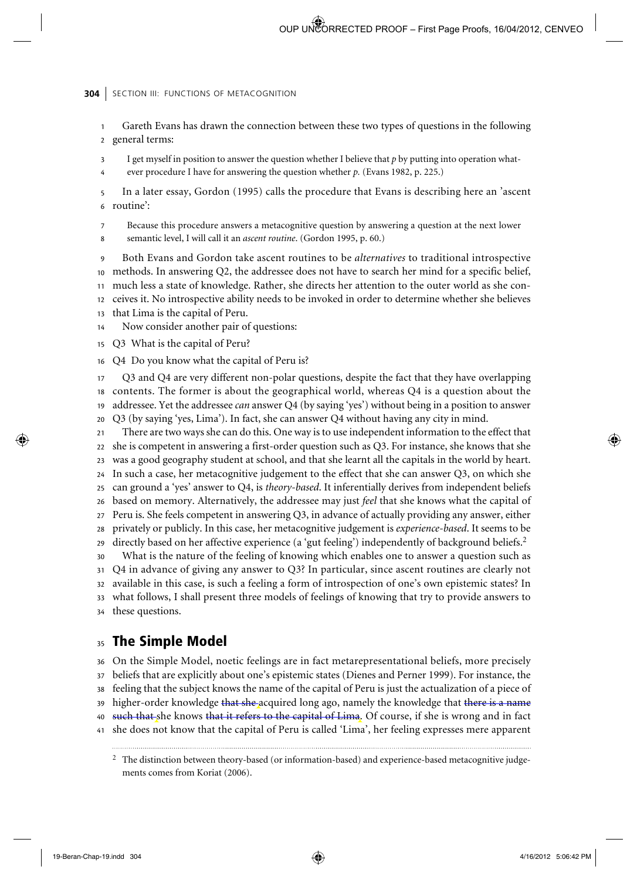2 Gareth Evans has drawn the connection between these two types of questions in the following general terms:

4 3 I get myself in position to answer the question whether I believe that *p* by putting into operation whatever procedure I have for answering the question whether *p*. (Evans 1982, p. 225.)

6 5 In a later essay, Gordon (1995) calls the procedure that Evans is describing here an 'ascent routine':

8 7 Because this procedure answers a metacognitive question by answering a question at the next lower semantic level, I will call it an *ascent routine*. (Gordon 1995, p. 60.)

13 12 11 10 9 Both Evans and Gordon take ascent routines to be *alternatives* to traditional introspective methods. In answering Q2, the addressee does not have to search her mind for a specific belief, much less a state of knowledge. Rather, she directs her attention to the outer world as she conceives it. No introspective ability needs to be invoked in order to determine whether she believes that Lima is the capital of Peru.

14 Now consider another pair of questions:

15 Q3 What is the capital of Peru?

16 Q4 Do you know what the capital of Peru is?

20 19 18 17 Q3 and Q4 are very different non-polar questions, despite the fact that they have overlapping contents. The former is about the geographical world, whereas Q4 is a question about the addressee. Yet the addressee *can* answer Q4 (by saying 'yes') without being in a position to answer Q3 (by saying 'yes, Lima'). In fact, she can answer Q4 without having any city in mind.

29 28 27 26  $25$ 24 23 22 21 There are two ways she can do this. One way is to use independent information to the effect that she is competent in answering a first-order question such as Q3. For instance, she knows that she was a good geography student at school, and that she learnt all the capitals in the world by heart. In such a case, her metacognitive judgement to the effect that she can answer Q3, on which she can ground a 'yes' answer to Q4, is *theory-based* . It inferentially derives from independent beliefs based on memory. Alternatively, the addressee may just *feel* that she knows what the capital of Peru is. She feels competent in answering Q3, in advance of actually providing any answer, either privately or publicly. In this case, her metacognitive judgement is *experience-based* . It seems to be directly based on her affective experience (a 'gut feeling') independently of background beliefs.<sup>2</sup> What is the nature of the feeling of knowing which enables one to answer a question such as

34 33 32 31 30 Q4 in advance of giving any answer to Q3? In particular, since ascent routines are clearly not available in this case, is such a feeling a form of introspection of one's own epistemic states? In what follows, I shall present three models of feelings of knowing that try to provide answers to these questions.

#### 35 **The Simple Model**

41 she does not know that the capital of Peru is called 'Lima', her feeling expresses mere apparent 40 39 38 37 36 On the Simple Model, noetic feelings are in fact metarepresentational beliefs, more precisely beliefs that are explicitly about one's epistemic states (Dienes and Perner 1999 ). For instance, the feeling that the subject knows the name of the capital of Peru is just the actualization of a piece of higher-order knowledge that she acquired long ago, namely the knowledge that there is a name such that she knows t<del>hat it refers to the capital of Lima</del>. Of course, if she is wrong and in fact

<sup>2</sup> The distinction between theory-based (or information-based) and experience-based metacognitive judgements comes from Koriat (2006).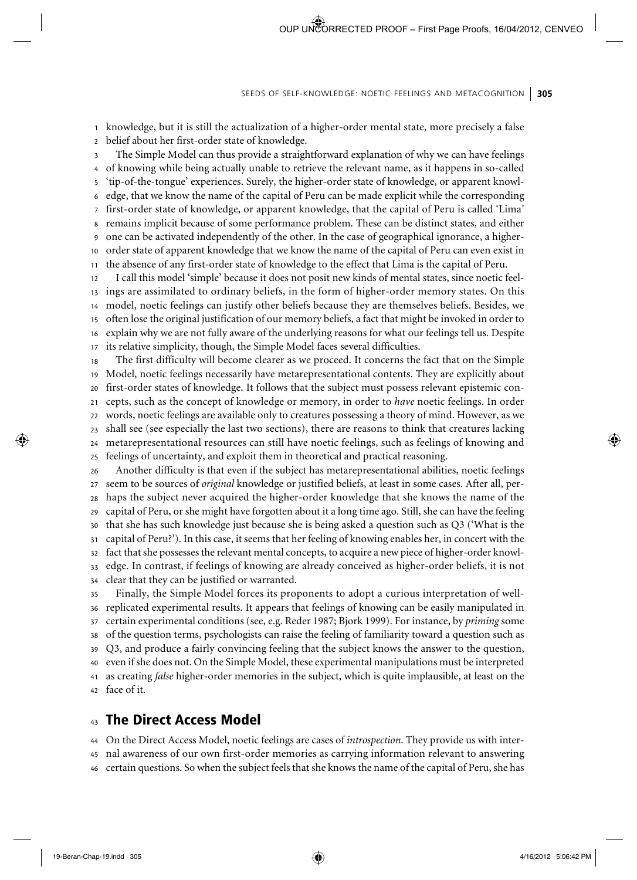2 1 knowledge, but it is still the actualization of a higher-order mental state, more precisely a false belief about her first-order state of knowledge.

11 10 9 8 7 6 5 4 3 The Simple Model can thus provide a straightforward explanation of why we can have feelings of knowing while being actually unable to retrieve the relevant name, as it happens in so-called 'tip-of-the-tongue' experiences. Surely, the higher-order state of knowledge, or apparent knowledge, that we know the name of the capital of Peru can be made explicit while the corresponding first-order state of knowledge, or apparent knowledge, that the capital of Peru is called 'Lima' remains implicit because of some performance problem. These can be distinct states, and either one can be activated independently of the other. In the case of geographical ignorance, a higherorder state of apparent knowledge that we know the name of the capital of Peru can even exist in the absence of any first-order state of knowledge to the effect that Lima is the capital of Peru.

17 16 15 14 13 12 I call this model 'simple' because it does not posit new kinds of mental states, since noetic feelings are assimilated to ordinary beliefs, in the form of higher-order memory states. On this model, noetic feelings can justify other beliefs because they are themselves beliefs. Besides, we often lose the original justification of our memory beliefs, a fact that might be invoked in order to explain why we are not fully aware of the underlying reasons for what our feelings tell us. Despite its relative simplicity, though, the Simple Model faces several difficulties.

25 24  $23$ 22  $21$  $20$ 19 18 The first difficulty will become clearer as we proceed. It concerns the fact that on the Simple Model, noetic feelings necessarily have metarepresentational contents. They are explicitly about first-order states of knowledge. It follows that the subject must possess relevant epistemic concepts, such as the concept of knowledge or memory, in order to *have* noetic feelings. In order words, noetic feelings are available only to creatures possessing a theory of mind. However, as we shall see (see especially the last two sections), there are reasons to think that creatures lacking metarepresentational resources can still have noetic feelings, such as feelings of knowing and feelings of uncertainty, and exploit them in theoretical and practical reasoning.

34 33 32 31 30 29 28  $27$ 26 Another difficulty is that even if the subject has metarepresentational abilities, noetic feelings seem to be sources of *original* knowledge or justified beliefs, at least in some cases. After all, perhaps the subject never acquired the higher-order knowledge that she knows the name of the capital of Peru, or she might have forgotten about it a long time ago. Still, she can have the feeling that she has such knowledge just because she is being asked a question such as Q3 ('What is the capital of Peru?'). In this case, it seems that her feeling of knowing enables her, in concert with the fact that she possesses the relevant mental concepts, to acquire a new piece of higher-order knowledge. In contrast, if feelings of knowing are already conceived as higher-order beliefs, it is not clear that they can be justified or warranted.

42 41 40 39 38 37 36 35 Finally, the Simple Model forces its proponents to adopt a curious interpretation of wellreplicated experimental results. It appears that feelings of knowing can be easily manipulated in certain experimental conditions (see, e.g. Reder 1987 ; Bjork 1999 ). For instance, by *priming* some of the question terms, psychologists can raise the feeling of familiarity toward a question such as Q3, and produce a fairly convincing feeling that the subject knows the answer to the question, even if she does not. On the Simple Model, these experimental manipulations must be interpreted as creating *false* higher-order memories in the subject, which is quite implausible, at least on the face of it.

#### 43 **The Direct Access Model**

44 On the Direct Access Model, noetic feelings are cases of *introspection* . They provide us with inter-

45 nal awareness of our own first-order memories as carrying information relevant to answering

46 certain questions. So when the subject feels that she knows the name of the capital of Peru, she has

⇔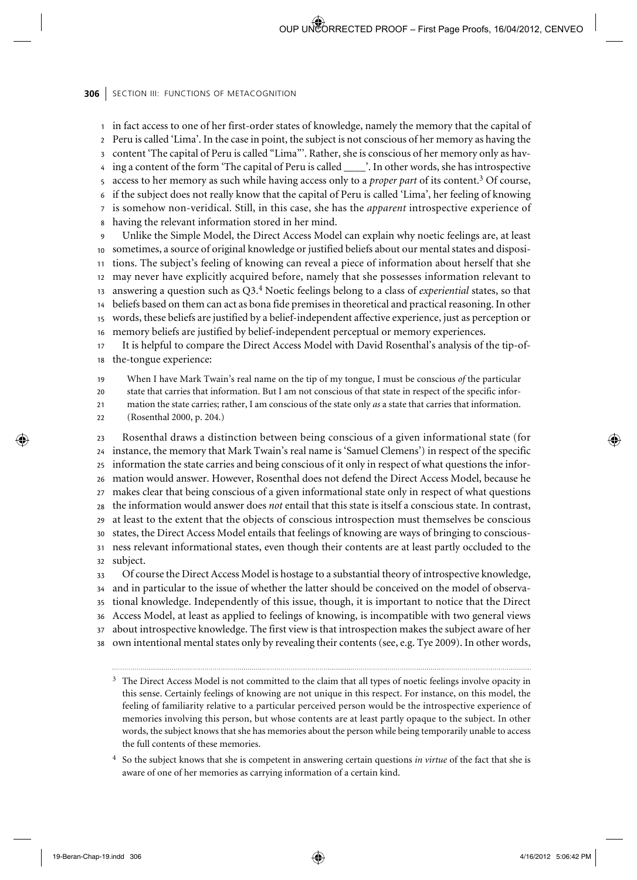8 7 6 5 4 3 2 1 in fact access to one of her first-order states of knowledge, namely the memory that the capital of Peru is called 'Lima'. In the case in point, the subject is not conscious of her memory as having the content 'The capital of Peru is called "Lima"'. Rather, she is conscious of her memory only as having a content of the form 'The capital of Peru is called *\_\_\_\_* '. In other words, she has introspective access to her memory as such while having access only to a *proper part* of its content. 3 Of course, if the subject does not really know that the capital of Peru is called 'Lima', her feeling of knowing is somehow non-veridical. Still, in this case, she has the *apparent* introspective experience of having the relevant information stored in her mind.

16 15 14 13 12 11 10 9 Unlike the Simple Model, the Direct Access Model can explain why noetic feelings are, at least sometimes, a source of original knowledge or justified beliefs about our mental states and dispositions. The subject's feeling of knowing can reveal a piece of information about herself that she may never have explicitly acquired before, namely that she possesses information relevant to answering a question such as Q3. 4 Noetic feelings belong to a class of *experiential* states, so that beliefs based on them can act as bona fide premises in theoretical and practical reasoning. In other words, these beliefs are justified by a belief-independent affective experience, just as perception or memory beliefs are justified by belief-independent perceptual or memory experiences.

18 17 It is helpful to compare the Direct Access Model with David Rosenthal's analysis of the tip-ofthe-tongue experience:

19 When I have Mark Twain's real name on the tip of my tongue, I must be conscious *of* the particular

20 state that carries that information. But I am not conscious of that state in respect of the specific infor-

21 mation the state carries; rather, I am conscious of the state only *as* a state that carries that information.

 $22$ (Rosenthal 2000, p. 204.)

⊕

32 31 30 29 28 27 26 25 24 23 Rosenthal draws a distinction between being conscious of a given informational state (for instance, the memory that Mark Twain's real name is 'Samuel Clemens') in respect of the specific information the state carries and being conscious of it only in respect of what questions the information would answer. However, Rosenthal does not defend the Direct Access Model, because he makes clear that being conscious of a given informational state only in respect of what questions the information would answer does *not* entail that this state is itself a conscious state. In contrast, at least to the extent that the objects of conscious introspection must themselves be conscious states, the Direct Access Model entails that feelings of knowing are ways of bringing to consciousness relevant informational states, even though their contents are at least partly occluded to the subject.

38 37 36 35 34 33 Of course the Direct Access Model is hostage to a substantial theory of introspective knowledge, and in particular to the issue of whether the latter should be conceived on the model of observational knowledge. Independently of this issue, though, it is important to notice that the Direct Access Model, at least as applied to feelings of knowing, is incompatible with two general views about introspective knowledge. The first view is that introspection makes the subject aware of her own intentional mental states only by revealing their contents (see, e.g. Tye 2009 ). In other words,

<sup>&</sup>lt;sup>3</sup> The Direct Access Model is not committed to the claim that all types of noetic feelings involve opacity in this sense. Certainly feelings of knowing are not unique in this respect. For instance, on this model, the feeling of familiarity relative to a particular perceived person would be the introspective experience of memories involving this person, but whose contents are at least partly opaque to the subject. In other words, the subject knows that she has memories about the person while being temporarily unable to access the full contents of these memories.

<sup>4</sup> So the subject knows that she is competent in answering certain questions *in virtue* of the fact that she is aware of one of her memories as carrying information of a certain kind.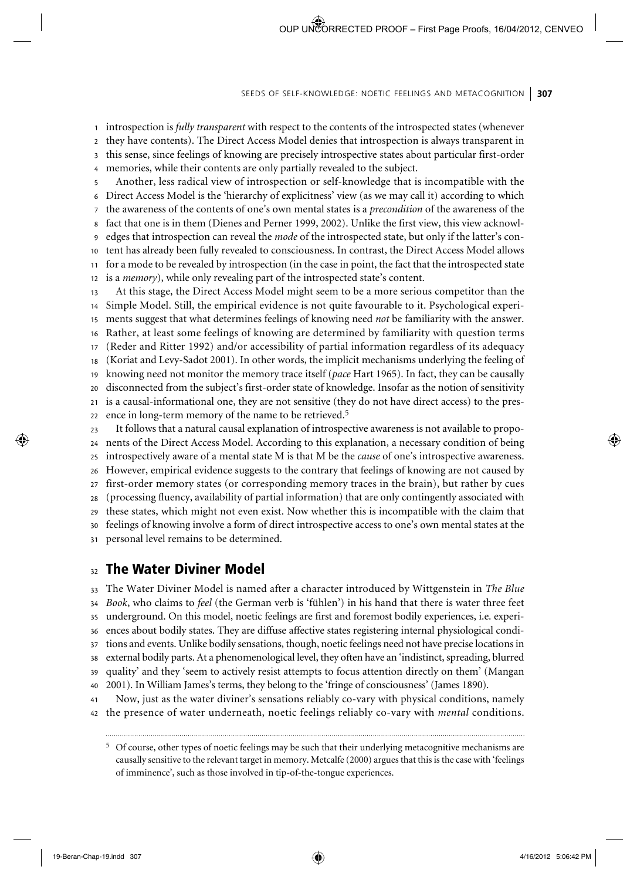1 introspection is *fully transparent* with respect to the contents of the introspected states (whenever

2 they have contents). The Direct Access Model denies that introspection is always transparent in

4 3 this sense, since feelings of knowing are precisely introspective states about particular first-order memories, while their contents are only partially revealed to the subject.

12 11 10 9 8 7 6 5 Another, less radical view of introspection or self-knowledge that is incompatible with the Direct Access Model is the 'hierarchy of explicitness' view (as we may call it) according to which the awareness of the contents of one's own mental states is a *precondition* of the awareness of the fact that one is in them (Dienes and Perner 1999 , 2002 ). Unlike the first view, this view acknowledges that introspection can reveal the *mode* of the introspected state, but only if the latter's content has already been fully revealed to consciousness. In contrast, the Direct Access Model allows for a mode to be revealed by introspection (in the case in point, the fact that the introspected state is a *memory* ), while only revealing part of the introspected state's content.

22  $21$  $20$ 19 18 17 16 15 14 13 At this stage, the Direct Access Model might seem to be a more serious competitor than the Simple Model. Still, the empirical evidence is not quite favourable to it. Psychological experiments suggest that what determines feelings of knowing need *not* be familiarity with the answer. Rather, at least some feelings of knowing are determined by familiarity with question terms (Reder and Ritter 1992 ) and/or accessibility of partial information regardless of its adequacy (Koriat and Levy-Sadot 2001 ). In other words, the implicit mechanisms underlying the feeling of knowing need not monitor the memory trace itself ( *pace* Hart 1965 ). In fact, they can be causally disconnected from the subject's first-order state of knowledge. Insofar as the notion of sensitivity is a causal-informational one, they are not sensitive (they do not have direct access) to the presence in long-term memory of the name to be retrieved.<sup>5</sup>

31 30  $29$ 28  $27$ 26 25 24  $2<sup>2</sup>$  It follows that a natural causal explanation of introspective awareness is not available to proponents of the Direct Access Model. According to this explanation, a necessary condition of being introspectively aware of a mental state M is that M be the *cause* of one's introspective awareness. However, empirical evidence suggests to the contrary that feelings of knowing are not caused by first-order memory states (or corresponding memory traces in the brain), but rather by cues (processing fluency, availability of partial information) that are only contingently associated with these states, which might not even exist. Now whether this is incompatible with the claim that feelings of knowing involve a form of direct introspective access to one's own mental states at the personal level remains to be determined.

#### 32 **The Water Diviner Model**

40 39 38 37 36 35 34 33 The Water Diviner Model is named after a character introduced by Wittgenstein in *The Blue Book* , who claims to *feel* (the German verb is 'fühlen') in his hand that there is water three feet underground. On this model, noetic feelings are first and foremost bodily experiences, i.e. experiences about bodily states. They are diffuse affective states registering internal physiological conditions and events. Unlike bodily sensations, though, noetic feelings need not have precise locations in external bodily parts. At a phenomenological level, they often have an 'indistinct, spreading, blurred quality' and they 'seem to actively resist attempts to focus attention directly on them' (Mangan 2001). In William James's terms, they belong to the 'fringe of consciousness' (James 1890).

42 41 Now, just as the water diviner's sensations reliably co-vary with physical conditions, namely the presence of water underneath, noetic feelings reliably co-vary with *mental* conditions.

<sup>&</sup>lt;sup>5</sup> Of course, other types of noetic feelings may be such that their underlying metacognitive mechanisms are causally sensitive to the relevant target in memory. Metcalfe ( 2000 ) argues that this is the case with 'feelings of imminence', such as those involved in tip-of-the-tongue experiences.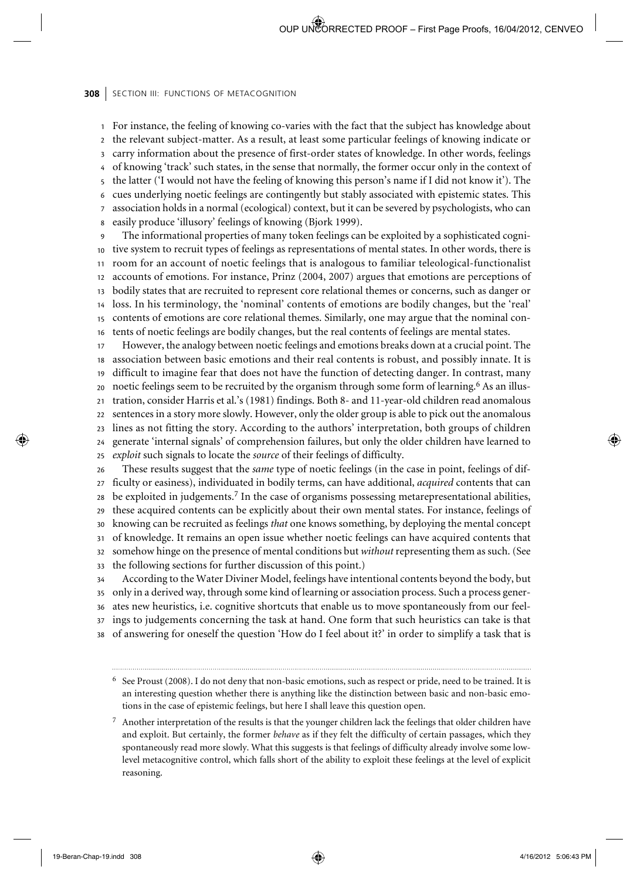8 7 6 5 4 3 2 1 For instance, the feeling of knowing co-varies with the fact that the subject has knowledge about the relevant subject-matter. As a result, at least some particular feelings of knowing indicate or carry information about the presence of first-order states of knowledge. In other words, feelings of knowing 'track' such states, in the sense that normally, the former occur only in the context of the latter ('I would not have the feeling of knowing this person's name if I did not know it'). The cues underlying noetic feelings are contingently but stably associated with epistemic states. This association holds in a normal (ecological) context, but it can be severed by psychologists, who can easily produce 'illusory' feelings of knowing (Bjork 1999 ).

16 15 14 13 12 11 10 9 The informational properties of many token feelings can be exploited by a sophisticated cognitive system to recruit types of feelings as representations of mental states. In other words, there is room for an account of noetic feelings that is analogous to familiar teleological-functionalist accounts of emotions. For instance, Prinz (2004, 2007) argues that emotions are perceptions of bodily states that are recruited to represent core relational themes or concerns, such as danger or loss. In his terminology, the 'nominal' contents of emotions are bodily changes, but the 'real' contents of emotions are core relational themes. Similarly, one may argue that the nominal contents of noetic feelings are bodily changes, but the real contents of feelings are mental states.

25 24 23 22 21 20 19 18 17 However, the analogy between noetic feelings and emotions breaks down at a crucial point. The association between basic emotions and their real contents is robust, and possibly innate. It is difficult to imagine fear that does not have the function of detecting danger. In contrast, many noetic feelings seem to be recruited by the organism through some form of learning.<sup>6</sup> As an illustration, consider Harris et al.'s ( 1981 ) findings. Both 8- and 11-year-old children read anomalous sentences in a story more slowly. However, only the older group is able to pick out the anomalous lines as not fitting the story. According to the authors' interpretation, both groups of children generate 'internal signals' of comprehension failures, but only the older children have learned to *exploit* such signals to locate the *source* of their feelings of difficulty.

33 32 31 30 29 28 27  $26$  These results suggest that the *same* type of noetic feelings (in the case in point, feelings of difficulty or easiness), individuated in bodily terms, can have additional, *acquired* contents that can be exploited in judgements.<sup>7</sup> In the case of organisms possessing metarepresentational abilities, these acquired contents can be explicitly about their own mental states. For instance, feelings of knowing can be recruited as feelings *that* one knows something, by deploying the mental concept of knowledge. It remains an open issue whether noetic feelings can have acquired contents that somehow hinge on the presence of mental conditions but *without* representing them as such. (See the following sections for further discussion of this point.)

38 37 36 35 34 According to the Water Diviner Model, feelings have intentional contents beyond the body, but only in a derived way, through some kind of learning or association process. Such a process generates new heuristics, i.e. cognitive shortcuts that enable us to move spontaneously from our feelings to judgements concerning the task at hand. One form that such heuristics can take is that of answering for oneself the question 'How do I feel about it?' in order to simplify a task that is

<sup>6</sup> See Proust ( 2008 ). I do not deny that non-basic emotions, such as respect or pride, need to be trained. It is an interesting question whether there is anything like the distinction between basic and non-basic emotions in the case of epistemic feelings, but here I shall leave this question open.

<sup>7</sup> Another interpretation of the results is that the younger children lack the feelings that older children have and exploit. But certainly, the former *behave* as if they felt the difficulty of certain passages, which they spontaneously read more slowly. What this suggests is that feelings of difficulty already involve some lowlevel metacognitive control, which falls short of the ability to exploit these feelings at the level of explicit reasoning.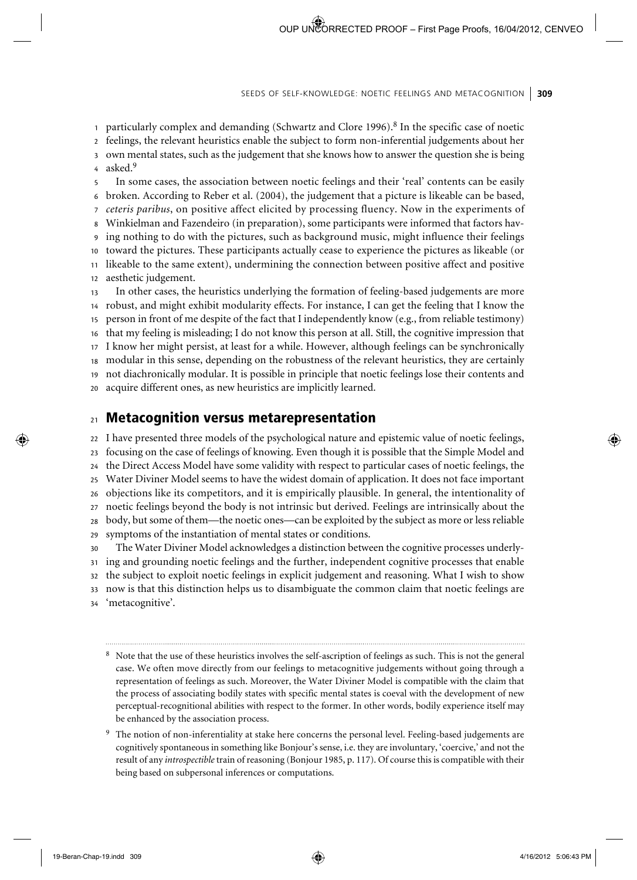1 particularly complex and demanding (Schwartz and Clore 1996).<sup>8</sup> In the specific case of noetic

2 feelings, the relevant heuristics enable the subject to form non-inferential judgements about her

4 3 own mental states, such as the judgement that she knows how to answer the question she is being asked. 9

12 11 10 9 8 7 6 5 In some cases, the association between noetic feelings and their 'real' contents can be easily broken. According to Reber et al. ( 2004 ), the judgement that a picture is likeable can be based, *ceteris paribus* , on positive affect elicited by processing fluency. Now in the experiments of Winkielman and Fazendeiro (in preparation), some participants were informed that factors having nothing to do with the pictures, such as background music, might influence their feelings toward the pictures. These participants actually cease to experience the pictures as likeable (or likeable to the same extent), undermining the connection between positive affect and positive aesthetic judgement.

 $20$ 19 18 17 16 15 14 13 In other cases, the heuristics underlying the formation of feeling-based judgements are more robust, and might exhibit modularity effects. For instance, I can get the feeling that I know the person in front of me despite of the fact that I independently know (e.g., from reliable testimony) that my feeling is misleading; I do not know this person at all. Still, the cognitive impression that I know her might persist, at least for a while. However, although feelings can be synchronically modular in this sense, depending on the robustness of the relevant heuristics, they are certainly not diachronically modular. It is possible in principle that noetic feelings lose their contents and acquire different ones, as new heuristics are implicitly learned.

#### $21$ **Metacognition versus metarepresentation**

29 28 27 26 25 24  $23$ 22 I have presented three models of the psychological nature and epistemic value of noetic feelings, focusing on the case of feelings of knowing. Even though it is possible that the Simple Model and the Direct Access Model have some validity with respect to particular cases of noetic feelings, the Water Diviner Model seems to have the widest domain of application. It does not face important objections like its competitors, and it is empirically plausible. In general, the intentionality of noetic feelings beyond the body is not intrinsic but derived. Feelings are intrinsically about the body, but some of them — the noetic ones — can be exploited by the subject as more or less reliable symptoms of the instantiation of mental states or conditions.

34 33 32 31 30 The Water Diviner Model acknowledges a distinction between the cognitive processes underlying and grounding noetic feelings and the further, independent cognitive processes that enable the subject to exploit noetic feelings in explicit judgement and reasoning. What I wish to show now is that this distinction helps us to disambiguate the common claim that noetic feelings are 'metacognitive'.

<sup>8</sup> Note that the use of these heuristics involves the self-ascription of feelings as such. This is not the general case. We often move directly from our feelings to metacognitive judgements without going through a representation of feelings as such. Moreover, the Water Diviner Model is compatible with the claim that the process of associating bodily states with specific mental states is coeval with the development of new perceptual-recognitional abilities with respect to the former. In other words, bodily experience itself may be enhanced by the association process.

<sup>&</sup>lt;sup>9</sup> The notion of non-inferentiality at stake here concerns the personal level. Feeling-based judgements are cognitively spontaneous in something like Bonjour's sense, i.e. they are involuntary, 'coercive,' and not the result of any *introspectible* train of reasoning (Bonjour 1985 , p. 117). Of course this is compatible with their being based on subpersonal inferences or computations.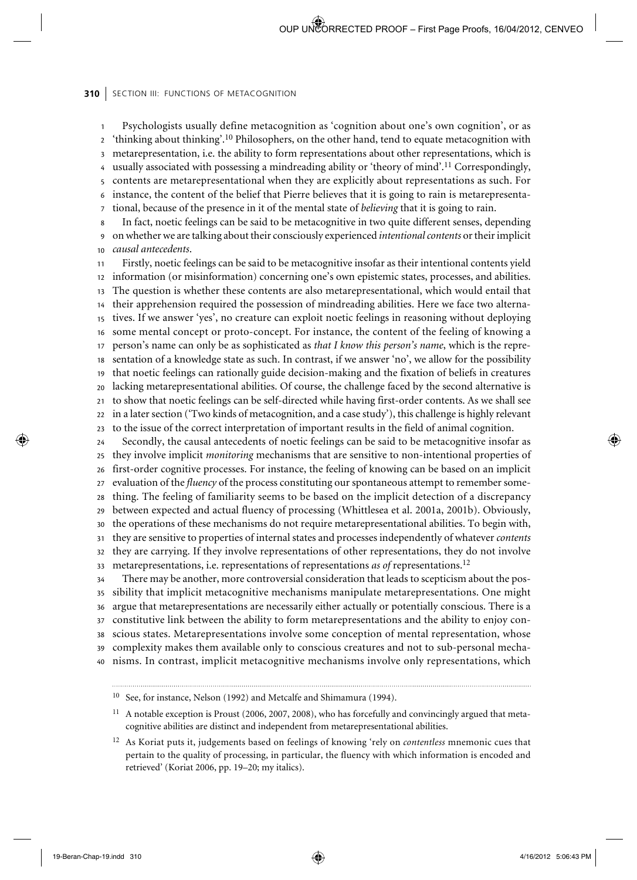7 6 5 4 3 2 1 Psychologists usually define metacognition as 'cognition about one's own cognition', or as 'thinking about thinking'. 10 Philosophers, on the other hand, tend to equate metacognition with metarepresentation, i.e. the ability to form representations about other representations, which is usually associated with possessing a mindreading ability or 'theory of mind'. 11 Correspondingly, contents are metarepresentational when they are explicitly about representations as such. For instance, the content of the belief that Pierre believes that it is going to rain is metarepresentational, because of the presence in it of the mental state of *believing* that it is going to rain.

10 9 8 In fact, noetic feelings can be said to be metacognitive in two quite different senses, depending on whether we are talking about their consciously experienced *intentional contents* or their implicit *causal antecedents* .

23 22 21 20 19 18 17 16 15 14 13 12 11 Firstly, noetic feelings can be said to be metacognitive insofar as their intentional contents yield information (or misinformation) concerning one's own epistemic states, processes, and abilities. The question is whether these contents are also metarepresentational, which would entail that their apprehension required the possession of mindreading abilities. Here we face two alternatives. If we answer 'yes', no creature can exploit noetic feelings in reasoning without deploying some mental concept or proto-concept. For instance, the content of the feeling of knowing a person's name can only be as sophisticated as *that I know this person's name* , which is the representation of a knowledge state as such. In contrast, if we answer 'no', we allow for the possibility that noetic feelings can rationally guide decision-making and the fixation of beliefs in creatures lacking metarepresentational abilities. Of course, the challenge faced by the second alternative is to show that noetic feelings can be self-directed while having first-order contents. As we shall see in a later section ('Two kinds of metacognition, and a case study'), this challenge is highly relevant to the issue of the correct interpretation of important results in the field of animal cognition.

33 32 31 30 29 28 27 26 25 24 Secondly, the causal antecedents of noetic feelings can be said to be metacognitive insofar as they involve implicit *monitoring* mechanisms that are sensitive to non-intentional properties of first-order cognitive processes. For instance, the feeling of knowing can be based on an implicit evaluation of the *fluency* of the process constituting our spontaneous attempt to remember something. The feeling of familiarity seems to be based on the implicit detection of a discrepancy between expected and actual fluency of processing (Whittlesea et al. 2001a, 2001b). Obviously, the operations of these mechanisms do not require metarepresentational abilities. To begin with, they are sensitive to properties of internal states and processes independently of whatever *contents* they are carrying. If they involve representations of other representations, they do not involve metarepresentations, i.e. representations of representations *as of* representations. 12

40 39 38 37 36 35 34 There may be another, more controversial consideration that leads to scepticism about the possibility that implicit metacognitive mechanisms manipulate metarepresentations. One might argue that metarepresentations are necessarily either actually or potentially conscious. There is a constitutive link between the ability to form metarepresentations and the ability to enjoy conscious states. Metarepresentations involve some conception of mental representation, whose complexity makes them available only to conscious creatures and not to sub-personal mechanisms. In contrast, implicit metacognitive mechanisms involve only representations, which

<sup>&</sup>lt;sup>10</sup> See, for instance, Nelson (1992) and Metcalfe and Shimamura (1994).

<sup>&</sup>lt;sup>11</sup> A notable exception is Proust (2006, 2007, 2008), who has forcefully and convincingly argued that metacognitive abilities are distinct and independent from metarepresentational abilities.

<sup>12</sup> As Koriat puts it, judgements based on feelings of knowing 'rely on *contentless* mnemonic cues that pertain to the quality of processing, in particular, the fluency with which information is encoded and retrieved' (Koriat 2006, pp. 19-20; my italics).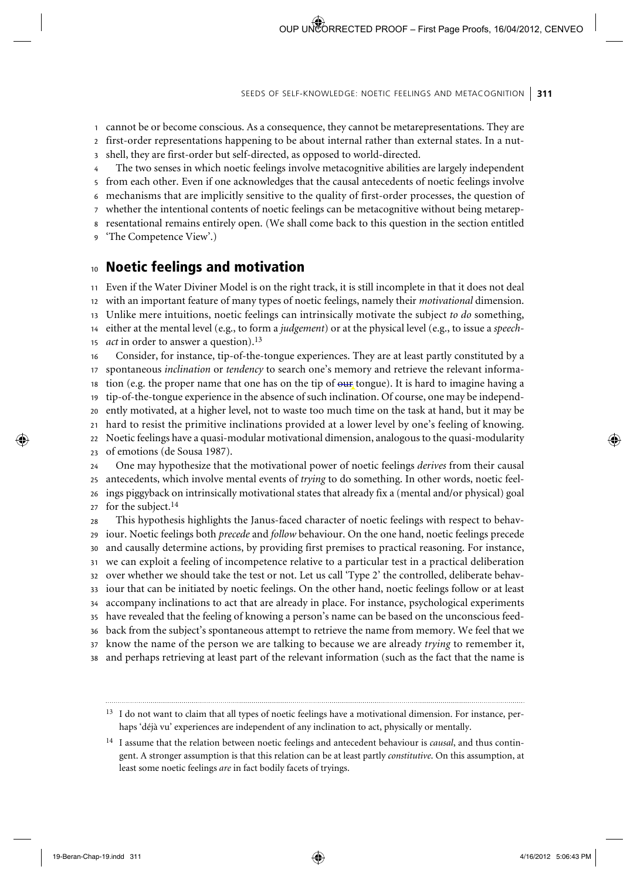1 cannot be or become conscious. As a consequence, they cannot be metarepresentations. They are

2 first-order representations happening to be about internal rather than external states. In a nut-

3 shell, they are first-order but self-directed, as opposed to world-directed.

4 The two senses in which noetic feelings involve metacognitive abilities are largely independent

5 from each other. Even if one acknowledges that the causal antecedents of noetic feelings involve

6 mechanisms that are implicitly sensitive to the quality of first-order processes, the question of

7 whether the intentional contents of noetic feelings can be metacognitive without being metarep-

8 resentational remains entirely open. (We shall come back to this question in the section entitled

9 'The Competence View'.)

#### 10 **Noetic feelings and motivation**

14 13 12 11 Even if the Water Diviner Model is on the right track, it is still incomplete in that it does not deal with an important feature of many types of noetic feelings, namely their *motivational* dimension. Unlike mere intuitions, noetic feelings can intrinsically motivate the subject *to do* something, either at the mental level (e.g., to form a *judgement* ) or at the physical level (e.g., to issue a *speech-*

15 *act* in order to answer a question).<sup>13</sup>

 $23$ 22 21 20 19 18 17 16 Consider, for instance, tip-of-the-tongue experiences. They are at least partly constituted by a spontaneous *inclination* or *tendency* to search one's memory and retrieve the relevant information (e.g. the proper name that one has on the tip of  $\Theta_{\text{t}}$  tongue). It is hard to imagine having a tip-of-the-tongue experience in the absence of such inclination. Of course, one may be independently motivated, at a higher level, not to waste too much time on the task at hand, but it may be hard to resist the primitive inclinations provided at a lower level by one's feeling of knowing. Noetic feelings have a quasi-modular motivational dimension, analogous to the quasi-modularity of emotions (de Sousa 1987).

27 26 25 24 One may hypothesize that the motivational power of noetic feelings *derives* from their causal antecedents, which involve mental events of *trying* to do something. In other words, noetic feelings piggyback on intrinsically motivational states that already fix a (mental and/or physical) goal for the subject. $14$ 

38 37 36 35 34 33 32 31 30 29 28 This hypothesis highlights the Janus-faced character of noetic feelings with respect to behaviour. Noetic feelings both *precede* and *follow* behaviour. On the one hand, noetic feelings precede and causally determine actions, by providing first premises to practical reasoning. For instance, we can exploit a feeling of incompetence relative to a particular test in a practical deliberation over whether we should take the test or not. Let us call 'Type 2' the controlled, deliberate behaviour that can be initiated by noetic feelings. On the other hand, noetic feelings follow or at least accompany inclinations to act that are already in place. For instance, psychological experiments have revealed that the feeling of knowing a person's name can be based on the unconscious feedback from the subject's spontaneous attempt to retrieve the name from memory. We feel that we know the name of the person we are talking to because we are already *trying* to remember it, and perhaps retrieving at least part of the relevant information (such as the fact that the name is

<sup>13</sup> I do not want to claim that all types of noetic feelings have a motivational dimension. For instance, perhaps 'déjà vu' experiences are independent of any inclination to act, physically or mentally.

<sup>14</sup> I assume that the relation between noetic feelings and antecedent behaviour is *causal* , and thus contingent. A stronger assumption is that this relation can be at least partly *constitutive* . On this assumption, at least some noetic feelings *are* in fact bodily facets of tryings.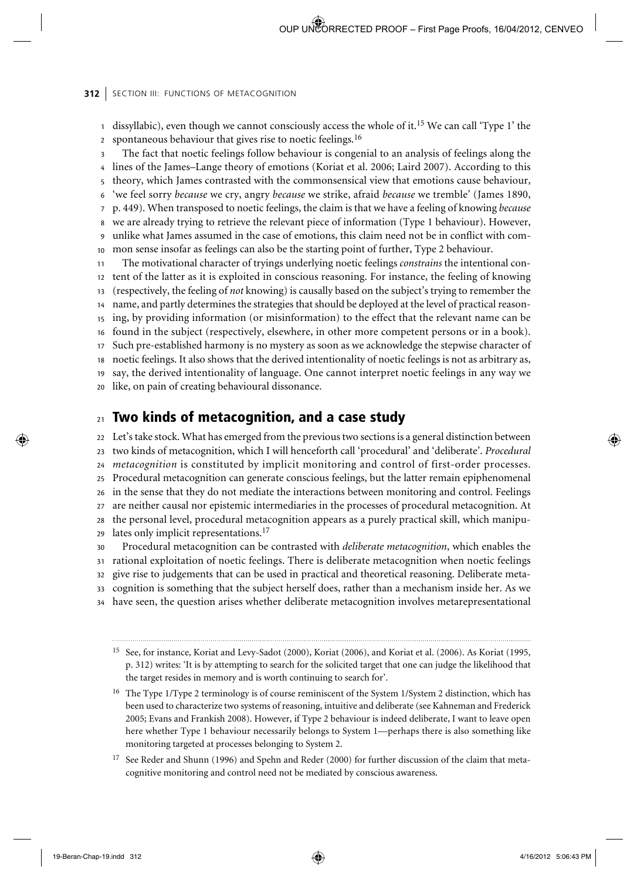2 <sup>1</sup> dissyllabic), even though we cannot consciously access the whole of it. 15 We can call 'Type 1' the spontaneous behaviour that gives rise to noetic feelings.<sup>16</sup>

10 9 8 7 6 5 4 3 The fact that noetic feelings follow behaviour is congenial to an analysis of feelings along the lines of the James–Lange theory of emotions (Koriat et al. 2006; Laird 2007). According to this theory, which James contrasted with the commonsensical view that emotions cause behaviour, 'we feel sorry *because* we cry, angry *because* we strike, afraid *because* we tremble' (James 1890, p. 449). When transposed to noetic feelings, the claim is that we have a feeling of knowing *because* we are already trying to retrieve the relevant piece of information (Type 1 behaviour). However, unlike what James assumed in the case of emotions, this claim need not be in conflict with common sense insofar as feelings can also be the starting point of further, Type 2 behaviour.

 $20$ 19 18 17 16 15 14 13 12 11 The motivational character of tryings underlying noetic feelings *constrains* the intentional content of the latter as it is exploited in conscious reasoning. For instance, the feeling of knowing (respectively, the feeling of *not* knowing) is causally based on the subject's trying to remember the name, and partly determines the strategies that should be deployed at the level of practical reasoning, by providing information (or misinformation) to the effect that the relevant name can be found in the subject (respectively, elsewhere, in other more competent persons or in a book). Such pre-established harmony is no mystery as soon as we acknowledge the stepwise character of noetic feelings. It also shows that the derived intentionality of noetic feelings is not as arbitrary as, say, the derived intentionality of language. One cannot interpret noetic feelings in any way we like, on pain of creating behavioural dissonance.

#### 21 **Two kinds of metacognition, and a case study**

29 28 27 26 25 24 23 22 Let's take stock. What has emerged from the previous two sections is a general distinction between two kinds of metacognition, which I will henceforth call 'procedural' and 'deliberate'. *Procedural metacognition* is constituted by implicit monitoring and control of first-order processes. Procedural metacognition can generate conscious feelings, but the latter remain epiphenomenal in the sense that they do not mediate the interactions between monitoring and control. Feelings are neither causal nor epistemic intermediaries in the processes of procedural metacognition. At the personal level, procedural metacognition appears as a purely practical skill, which manipulates only implicit representations.<sup>17</sup>

34 33 32 31 30 Procedural metacognition can be contrasted with *deliberate metacognition* , which enables the rational exploitation of noetic feelings. There is deliberate metacognition when noetic feelings give rise to judgements that can be used in practical and theoretical reasoning. Deliberate metacognition is something that the subject herself does, rather than a mechanism inside her. As we have seen, the question arises whether deliberate metacognition involves metarepresentational

- 16 The Type 1/Type 2 terminology is of course reminiscent of the System 1/System 2 distinction, which has been used to characterize two systems of reasoning, intuitive and deliberate (see Kahneman and Frederick 2005 ; Evans and Frankish 2008 ). However, if Type 2 behaviour is indeed deliberate, I want to leave open here whether Type 1 behaviour necessarily belongs to System 1—perhaps there is also something like monitoring targeted at processes belonging to System 2.
- <sup>17</sup> See Reder and Shunn (1996) and Spehn and Reder (2000) for further discussion of the claim that metacognitive monitoring and control need not be mediated by conscious awareness.

<sup>&</sup>lt;sup>15</sup> See, for instance, Koriat and Levy-Sadot (2000), Koriat (2006), and Koriat et al. (2006). As Koriat (1995, p. 312) writes: 'It is by attempting to search for the solicited target that one can judge the likelihood that the target resides in memory and is worth continuing to search for'.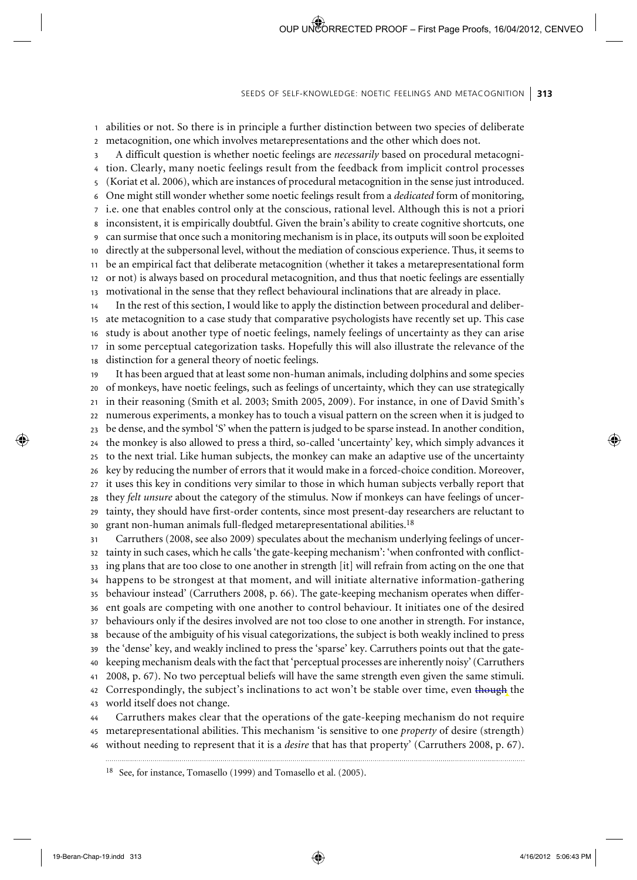2 1 abilities or not. So there is in principle a further distinction between two species of deliberate metacognition, one which involves metarepresentations and the other which does not.

13 12 11 10 9 8 7 6 5 4 3 A difficult question is whether noetic feelings are *necessarily* based on procedural metacognition. Clearly, many noetic feelings result from the feedback from implicit control processes (Koriat et al. 2006), which are instances of procedural metacognition in the sense just introduced. One might still wonder whether some noetic feelings result from a *dedicated* form of monitoring, i.e. one that enables control only at the conscious, rational level. Although this is not a priori inconsistent, it is empirically doubtful. Given the brain's ability to create cognitive shortcuts, one can surmise that once such a monitoring mechanism is in place, its outputs will soon be exploited directly at the subpersonal level, without the mediation of conscious experience. Thus, it seems to be an empirical fact that deliberate metacognition (whether it takes a metarepresentational form or not) is always based on procedural metacognition, and thus that noetic feelings are essentially motivational in the sense that they reflect behavioural inclinations that are already in place.

18 17 16 15 14 In the rest of this section, I would like to apply the distinction between procedural and deliberate metacognition to a case study that comparative psychologists have recently set up. This case study is about another type of noetic feelings, namely feelings of uncertainty as they can arise in some perceptual categorization tasks. Hopefully this will also illustrate the relevance of the distinction for a general theory of noetic feelings.

30  $29$ 28  $27$ 26 25 24 23 22  $21$  $20$ 19 It has been argued that at least some non-human animals, including dolphins and some species of monkeys, have noetic feelings, such as feelings of uncertainty, which they can use strategically in their reasoning (Smith et al. 2003; Smith 2005, 2009). For instance, in one of David Smith's numerous experiments, a monkey has to touch a visual pattern on the screen when it is judged to be dense, and the symbol 'S' when the pattern is judged to be sparse instead. In another condition, the monkey is also allowed to press a third, so-called 'uncertainty' key, which simply advances it to the next trial. Like human subjects, the monkey can make an adaptive use of the uncertainty key by reducing the number of errors that it would make in a forced-choice condition. Moreover, it uses this key in conditions very similar to those in which human subjects verbally report that they *felt unsure* about the category of the stimulus. Now if monkeys can have feelings of uncertainty, they should have first-order contents, since most present-day researchers are reluctant to grant non-human animals full-fledged metarepresentational abilities. 18

43 42 41 40 39 38 37 36 35 34 33 32 31 Carruthers (2008, see also 2009) speculates about the mechanism underlying feelings of uncertainty in such cases, which he calls 'the gate-keeping mechanism': 'when confronted with conflicting plans that are too close to one another in strength [it] will refrain from acting on the one that happens to be strongest at that moment, and will initiate alternative information-gathering behaviour instead' (Carruthers 2008, p. 66). The gate-keeping mechanism operates when different goals are competing with one another to control behaviour. It initiates one of the desired behaviours only if the desires involved are not too close to one another in strength. For instance, because of the ambiguity of his visual categorizations, the subject is both weakly inclined to press the 'dense' key, and weakly inclined to press the 'sparse' key. Carruthers points out that the gatekeeping mechanism deals with the fact that 'perceptual processes are inherently noisy' (Carruthers 2008 , p. 67). No two perceptual beliefs will have the same strength even given the same stimuli. Correspondingly, the subject's inclinations to act won't be stable over time, even though the world itself does not change.

46 45 44 Carruthers makes clear that the operations of the gate-keeping mechanism do not require metarepresentational abilities. This mechanism 'is sensitive to one *property* of desire (strength) without needing to represent that it is a *desire* that has that property' (Carruthers 2008 , p. 67).

<sup>18</sup> See, for instance, Tomasello (1999) and Tomasello et al. (2005).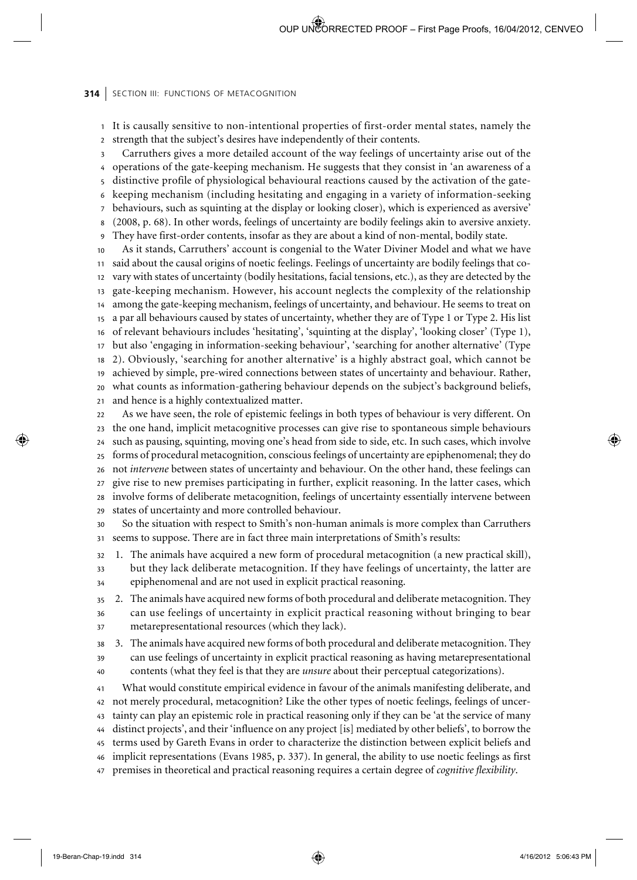2 1 It is causally sensitive to non-intentional properties of first-order mental states, namely the strength that the subject's desires have independently of their contents.

9 8 7 6 5 4 3 Carruthers gives a more detailed account of the way feelings of uncertainty arise out of the operations of the gate-keeping mechanism. He suggests that they consist in 'an awareness of a distinctive profile of physiological behavioural reactions caused by the activation of the gatekeeping mechanism (including hesitating and engaging in a variety of information-seeking behaviours, such as squinting at the display or looking closer), which is experienced as aversive' (2008, p. 68). In other words, feelings of uncertainty are bodily feelings akin to aversive anxiety. They have first-order contents, insofar as they are about a kind of non-mental, bodily state.

21 20 19 18 17 16 15 14 13 12 11 10 As it stands, Carruthers' account is congenial to the Water Diviner Model and what we have said about the causal origins of noetic feelings. Feelings of uncertainty are bodily feelings that covary with states of uncertainty (bodily hesitations, facial tensions, etc.), as they are detected by the gate-keeping mechanism. However, his account neglects the complexity of the relationship among the gate-keeping mechanism, feelings of uncertainty, and behaviour. He seems to treat on a par all behaviours caused by states of uncertainty, whether they are of Type 1 or Type 2. His list of relevant behaviours includes 'hesitating', 'squinting at the display', 'looking closer' (Type 1), but also 'engaging in information-seeking behaviour', 'searching for another alternative' (Type 2). Obviously, 'searching for another alternative' is a highly abstract goal, which cannot be achieved by simple, pre-wired connections between states of uncertainty and behaviour. Rather, what counts as information-gathering behaviour depends on the subject's background beliefs, and hence is a highly contextualized matter.

29 28 27 26 25 24 23 22 As we have seen, the role of epistemic feelings in both types of behaviour is very different. On the one hand, implicit metacognitive processes can give rise to spontaneous simple behaviours such as pausing, squinting, moving one's head from side to side, etc. In such cases, which involve forms of procedural metacognition, conscious feelings of uncertainty are epiphenomenal; they do not *intervene* between states of uncertainty and behaviour. On the other hand, these feelings can give rise to new premises participating in further, explicit reasoning. In the latter cases, which involve forms of deliberate metacognition, feelings of uncertainty essentially intervene between states of uncertainty and more controlled behaviour.

31 30 So the situation with respect to Smith's non-human animals is more complex than Carruthers seems to suppose. There are in fact three main interpretations of Smith's results:

32 1. The animals have acquired a new form of procedural metacognition (a new practical skill),

34 33 but they lack deliberate metacognition. If they have feelings of uncertainty, the latter are epiphenomenal and are not used in explicit practical reasoning.

37 36 35 2. The animals have acquired new forms of both procedural and deliberate metacognition. They can use feelings of uncertainty in explicit practical reasoning without bringing to bear metarepresentational resources (which they lack).

40 39 38 3. The animals have acquired new forms of both procedural and deliberate metacognition. They can use feelings of uncertainty in explicit practical reasoning as having metarepresentational contents (what they feel is that they are *unsure* about their perceptual categorizations).

47 46 45 44 43 42 41 What would constitute empirical evidence in favour of the animals manifesting deliberate, and not merely procedural, metacognition? Like the other types of noetic feelings, feelings of uncertainty can play an epistemic role in practical reasoning only if they can be 'at the service of many distinct projects', and their 'influence on any project [is] mediated by other beliefs', to borrow the terms used by Gareth Evans in order to characterize the distinction between explicit beliefs and implicit representations (Evans 1985 , p. 337). In general, the ability to use noetic feelings as first premises in theoretical and practical reasoning requires a certain degree of *cognitive flexibility* .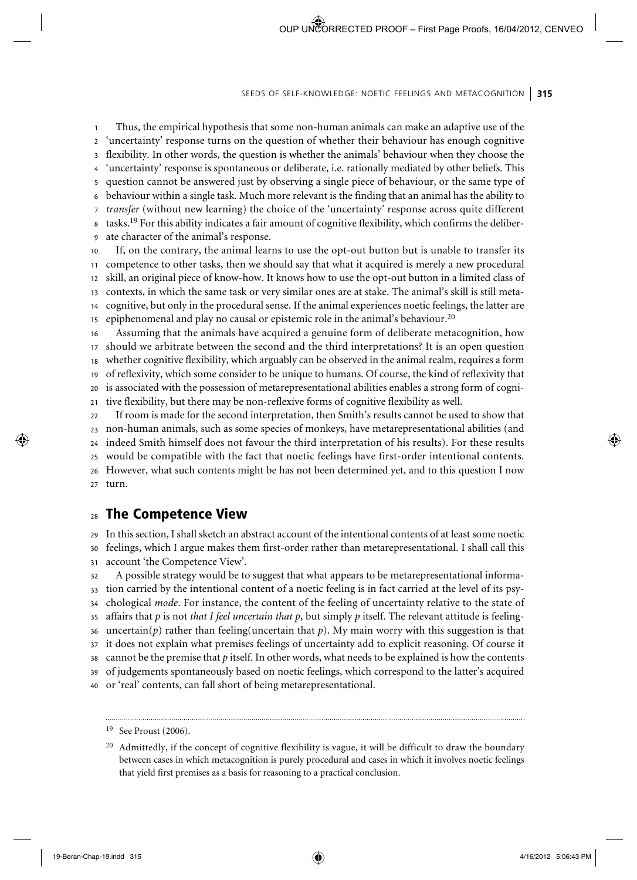9 8 7 6 5 4 3 2 1 Thus, the empirical hypothesis that some non-human animals can make an adaptive use of the 'uncertainty' response turns on the question of whether their behaviour has enough cognitive flexibility. In other words, the question is whether the animals' behaviour when they choose the 'uncertainty' response is spontaneous or deliberate, i.e. rationally mediated by other beliefs. This question cannot be answered just by observing a single piece of behaviour, or the same type of behaviour within a single task. Much more relevant is the finding that an animal has the ability to *transfer* (without new learning) the choice of the 'uncertainty' response across quite different tasks. 19 For this ability indicates a fair amount of cognitive flexibility, which confirms the deliberate character of the animal's response.

15 14 13 12 11 10 If, on the contrary, the animal learns to use the opt-out button but is unable to transfer its competence to other tasks, then we should say that what it acquired is merely a new procedural skill, an original piece of know-how. It knows how to use the opt-out button in a limited class of contexts, in which the same task or very similar ones are at stake. The animal's skill is still metacognitive, but only in the procedural sense. If the animal experiences noetic feelings, the latter are epiphenomenal and play no causal or epistemic role in the animal's behaviour.<sup>20</sup>

 $21$  $20$ 19 18 17 16 Assuming that the animals have acquired a genuine form of deliberate metacognition, how should we arbitrate between the second and the third interpretations? It is an open question whether cognitive flexibility, which arguably can be observed in the animal realm, requires a form of reflexivity, which some consider to be unique to humans. Of course, the kind of reflexivity that is associated with the possession of metarepresentational abilities enables a strong form of cognitive flexibility, but there may be non-reflexive forms of cognitive flexibility as well.

 $27$ 26 25 24  $23$ 22 If room is made for the second interpretation, then Smith's results cannot be used to show that non-human animals, such as some species of monkeys, have metarepresentational abilities (and indeed Smith himself does not favour the third interpretation of his results). For these results would be compatible with the fact that noetic feelings have first-order intentional contents. However, what such contents might be has not been determined yet, and to this question I now turn.

#### 28 **The Competence View**

31 30 29 In this section, I shall sketch an abstract account of the intentional contents of at least some noetic feelings, which I argue makes them first-order rather than metarepresentational. I shall call this account 'the Competence View'.

40 39 38 37 36 35 34 33 32 A possible strategy would be to suggest that what appears to be metarepresentational information carried by the intentional content of a noetic feeling is in fact carried at the level of its psychological *mode* . For instance, the content of the feeling of uncertainty relative to the state of affairs that  $p$  is not *that I feel uncertain that*  $p$ , but simply  $p$  itself. The relevant attitude is feelinguncertain( $p$ ) rather than feeling(uncertain that  $p$ ). My main worry with this suggestion is that it does not explain what premises feelings of uncertainty add to explicit reasoning. Of course it cannot be the premise that *p* itself. In other words, what needs to be explained is how the contents of judgements spontaneously based on noetic feelings, which correspond to the latter's acquired or 'real' contents, can fall short of being metarepresentational.

<sup>&</sup>lt;sup>19</sup> See Proust (2006).

<sup>&</sup>lt;sup>20</sup> Admittedly, if the concept of cognitive flexibility is vague, it will be difficult to draw the boundary between cases in which metacognition is purely procedural and cases in which it involves noetic feelings that yield first premises as a basis for reasoning to a practical conclusion.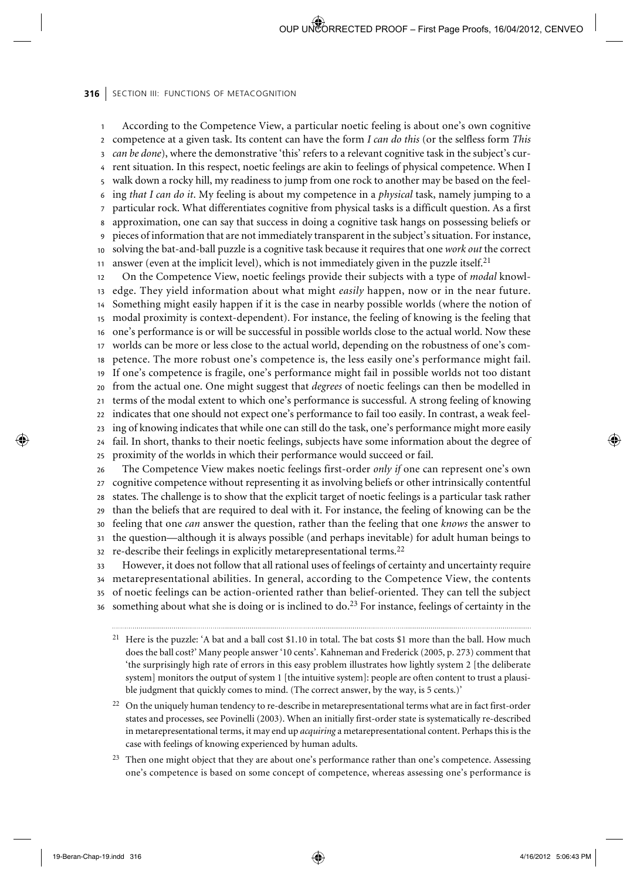11 10 9 8 7 6 5 4 3 2 1 According to the Competence View, a particular noetic feeling is about one's own cognitive competence at a given task. Its content can have the form *I can do this* (or the selfless form *This can be done*), where the demonstrative 'this' refers to a relevant cognitive task in the subject's current situation. In this respect, noetic feelings are akin to feelings of physical competence. When I walk down a rocky hill, my readiness to jump from one rock to another may be based on the feeling *that I can do it* . My feeling is about my competence in a *physical* task, namely jumping to a particular rock. What differentiates cognitive from physical tasks is a difficult question. As a first approximation, one can say that success in doing a cognitive task hangs on possessing beliefs or pieces of information that are not immediately transparent in the subject's situation. For instance, solving the bat-and-ball puzzle is a cognitive task because it requires that one *work out* the correct answer (even at the implicit level), which is not immediately given in the puzzle itself.<sup>21</sup>

25 24 23 22 21 20 19 18 17 16 15 14 13 12 On the Competence View, noetic feelings provide their subjects with a type of *modal* knowledge. They yield information about what might *easily* happen, now or in the near future. Something might easily happen if it is the case in nearby possible worlds (where the notion of modal proximity is context-dependent). For instance, the feeling of knowing is the feeling that one's performance is or will be successful in possible worlds close to the actual world. Now these worlds can be more or less close to the actual world, depending on the robustness of one's competence. The more robust one's competence is, the less easily one's performance might fail. If one's competence is fragile, one's performance might fail in possible worlds not too distant from the actual one. One might suggest that *degrees* of noetic feelings can then be modelled in terms of the modal extent to which one's performance is successful. A strong feeling of knowing indicates that one should not expect one's performance to fail too easily. In contrast, a weak feeling of knowing indicates that while one can still do the task, one's performance might more easily fail. In short, thanks to their noetic feelings, subjects have some information about the degree of proximity of the worlds in which their performance would succeed or fail.

32 31 30 29 28 27  $26$  The Competence View makes noetic feelings first-order *only if* one can represent one's own cognitive competence without representing it as involving beliefs or other intrinsically contentful states. The challenge is to show that the explicit target of noetic feelings is a particular task rather than the beliefs that are required to deal with it. For instance, the feeling of knowing can be the feeling that one *can* answer the question, rather than the feeling that one *knows* the answer to the question — although it is always possible (and perhaps inevitable) for adult human beings to re-describe their feelings in explicitly metarepresentational terms. 22

36 35 34 33 However, it does not follow that all rational uses of feelings of certainty and uncertainty require metarepresentational abilities. In general, according to the Competence View, the contents of noetic feelings can be action-oriented rather than belief-oriented. They can tell the subject something about what she is doing or is inclined to do.<sup>23</sup> For instance, feelings of certainty in the

<sup>22</sup> On the uniquely human tendency to re-describe in metarepresentational terms what are in fact first-order states and processes, see Povinelli (2003). When an initially first-order state is systematically re-described in metarepresentational terms, it may end up *acquiring* a metarepresentational content. Perhaps this is the case with feelings of knowing experienced by human adults.

<sup>23</sup> Then one might object that they are about one's performance rather than one's competence. Assessing one's competence is based on some concept of competence, whereas assessing one's performance is

<sup>&</sup>lt;sup>21</sup> Here is the puzzle: 'A bat and a ball cost \$1.10 in total. The bat costs \$1 more than the ball. How much does the ball cost?' Many people answer '10 cents'. Kahneman and Frederick ( 2005 , p. 273) comment that 'the surprisingly high rate of errors in this easy problem illustrates how lightly system 2 [the deliberate system] monitors the output of system 1 [the intuitive system]: people are often content to trust a plausible judgment that quickly comes to mind. (The correct answer, by the way, is 5 cents.)'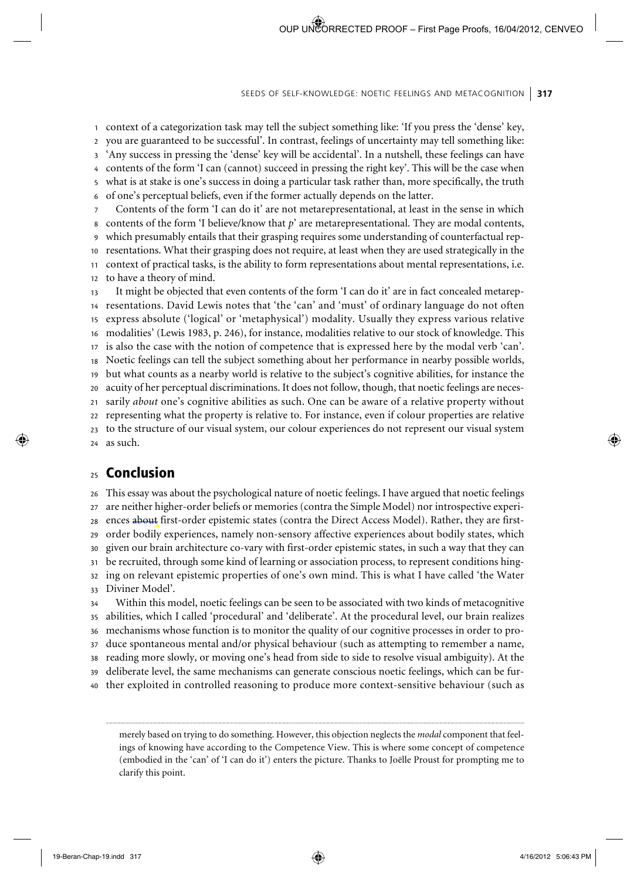6 5 4 3 2 1 context of a categorization task may tell the subject something like: 'If you press the 'dense' key, you are guaranteed to be successful'. In contrast, feelings of uncertainty may tell something like: 'Any success in pressing the 'dense' key will be accidental'. In a nutshell, these feelings can have contents of the form 'I can (cannot) succeed in pressing the right key'. This will be the case when what is at stake is one's success in doing a particular task rather than, more specifically, the truth of one's perceptual beliefs, even if the former actually depends on the latter.

12 11 10 9 8 7 Contents of the form 'I can do it' are not metarepresentational, at least in the sense in which contents of the form 'I believe/know that *p*' are metarepresentational. They are modal contents, which presumably entails that their grasping requires some understanding of counterfactual representations. What their grasping does not require, at least when they are used strategically in the context of practical tasks, is the ability to form representations about mental representations, i.e. to have a theory of mind.

24  $23$ 22  $21$  $20$ 19 18 17 16 15 14 13 It might be objected that even contents of the form 'I can do it' are in fact concealed metarepresentations. David Lewis notes that 'the 'can' and 'must' of ordinary language do not often express absolute ('logical' or 'metaphysical') modality. Usually they express various relative modalities' (Lewis 1983 , p. 246), for instance, modalities relative to our stock of knowledge. This is also the case with the notion of competence that is expressed here by the modal verb 'can'. Noetic feelings can tell the subject something about her performance in nearby possible worlds, but what counts as a nearby world is relative to the subject's cognitive abilities, for instance the acuity of her perceptual discriminations. It does not follow, though, that noetic feelings are necessarily *about* one's cognitive abilities as such. One can be aware of a relative property without representing what the property is relative to. For instance, even if colour properties are relative to the structure of our visual system, our colour experiences do not represent our visual system as such.

#### 25  **Conclusion**

⊕

33 32 31 30  $29$ 28 27 26 This essay was about the psychological nature of noetic feelings. I have argued that noetic feelings are neither higher-order beliefs or memories (contra the Simple Model) nor introspective experiences about first-order epistemic states (contra the Direct Access Model). Rather, they are firstorder bodily experiences, namely non-sensory affective experiences about bodily states, which given our brain architecture co-vary with first-order epistemic states, in such a way that they can be recruited, through some kind of learning or association process, to represent conditions hinging on relevant epistemic properties of one's own mind. This is what I have called 'the Water Diviner Model'.

40 39 38 37 36 35 34 Within this model, noetic feelings can be seen to be associated with two kinds of metacognitive abilities, which I called 'procedural' and 'deliberate'. At the procedural level, our brain realizes mechanisms whose function is to monitor the quality of our cognitive processes in order to produce spontaneous mental and/or physical behaviour (such as attempting to remember a name, reading more slowly, or moving one's head from side to side to resolve visual ambiguity). At the deliberate level, the same mechanisms can generate conscious noetic feelings, which can be further exploited in controlled reasoning to produce more context-sensitive behaviour (such as

merely based on trying to do something. However, this objection neglects the *modal* component that feelings of knowing have according to the Competence View. This is where some concept of competence (embodied in the 'can' of 'I can do it') enters the picture. Thanks to Joëlle Proust for prompting me to clarify this point.

19-Beran-Chap-19.indd 317 4/16/2012 5:06:43 PM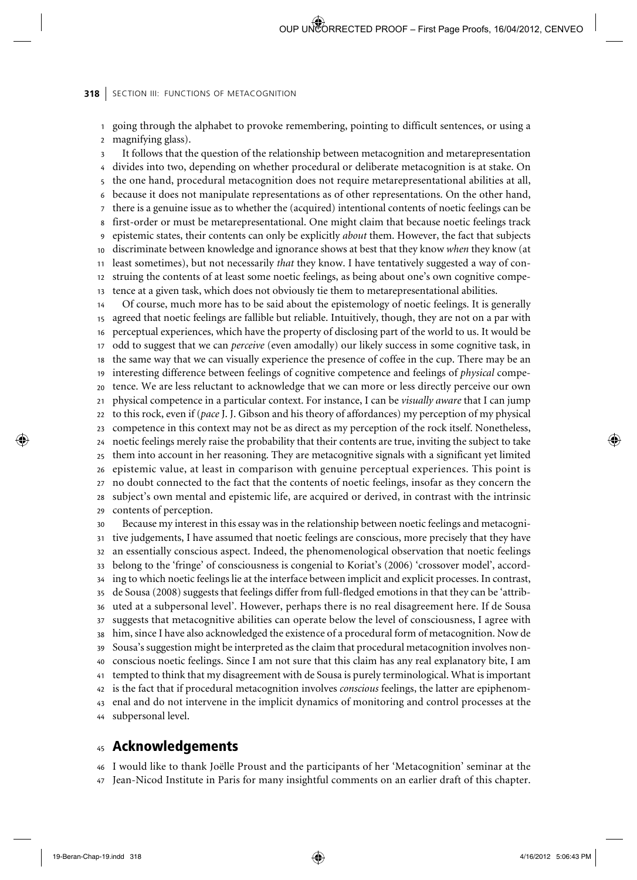2 1 going through the alphabet to provoke remembering, pointing to difficult sentences, or using a magnifying glass).

13 12 11 10 9 8 7 6 5 4 3 It follows that the question of the relationship between metacognition and metarepresentation divides into two, depending on whether procedural or deliberate metacognition is at stake. On the one hand, procedural metacognition does not require metarepresentational abilities at all, because it does not manipulate representations as of other representations. On the other hand, there is a genuine issue as to whether the (acquired) intentional contents of noetic feelings can be first-order or must be metarepresentational. One might claim that because noetic feelings track epistemic states, their contents can only be explicitly *about* them. However, the fact that subjects discriminate between knowledge and ignorance shows at best that they know *when* they know (at least sometimes), but not necessarily *that* they know. I have tentatively suggested a way of construing the contents of at least some noetic feelings, as being about one's own cognitive competence at a given task, which does not obviously tie them to metarepresentational abilities.

29 28 27 26 25 24 23 22 21 20 19 18 17 16 15 14 Of course, much more has to be said about the epistemology of noetic feelings. It is generally agreed that noetic feelings are fallible but reliable. Intuitively, though, they are not on a par with perceptual experiences, which have the property of disclosing part of the world to us. It would be odd to suggest that we can *perceive* (even amodally) our likely success in some cognitive task, in the same way that we can visually experience the presence of coffee in the cup. There may be an interesting difference between feelings of cognitive competence and feelings of *physical* competence. We are less reluctant to acknowledge that we can more or less directly perceive our own physical competence in a particular context. For instance, I can be *visually aware* that I can jump to this rock, even if ( *pace* J. J. Gibson and his theory of affordances) my perception of my physical competence in this context may not be as direct as my perception of the rock itself. Nonetheless, noetic feelings merely raise the probability that their contents are true, inviting the subject to take them into account in her reasoning. They are metacognitive signals with a significant yet limited epistemic value, at least in comparison with genuine perceptual experiences. This point is no doubt connected to the fact that the contents of noetic feelings, insofar as they concern the subject's own mental and epistemic life, are acquired or derived, in contrast with the intrinsic contents of perception.

44 43 42 41 40 39 38 37 36 35 34 33 32 31 30 Because my interest in this essay was in the relationship between noetic feelings and metacognitive judgements, I have assumed that noetic feelings are conscious, more precisely that they have an essentially conscious aspect. Indeed, the phenomenological observation that noetic feelings belong to the 'fringe' of consciousness is congenial to Koriat's ( 2006 ) 'crossover model', according to which noetic feelings lie at the interface between implicit and explicit processes. In contrast, de Sousa ( 2008 ) suggests that feelings differ from full-fledged emotions in that they can be 'attributed at a subpersonal level'. However, perhaps there is no real disagreement here. If de Sousa suggests that metacognitive abilities can operate below the level of consciousness, I agree with him, since I have also acknowledged the existence of a procedural form of metacognition. Now de Sousa's suggestion might be interpreted as the claim that procedural metacognition involves nonconscious noetic feelings. Since I am not sure that this claim has any real explanatory bite, I am tempted to think that my disagreement with de Sousa is purely terminological. What is important is the fact that if procedural metacognition involves *conscious* feelings, the latter are epiphenomenal and do not intervene in the implicit dynamics of monitoring and control processes at the subpersonal level.

#### 45  **Acknowledgements**

47 46 I would like to thank Joëlle Proust and the participants of her 'Metacognition' seminar at the Jean-Nicod Institute in Paris for many insightful comments on an earlier draft of this chapter.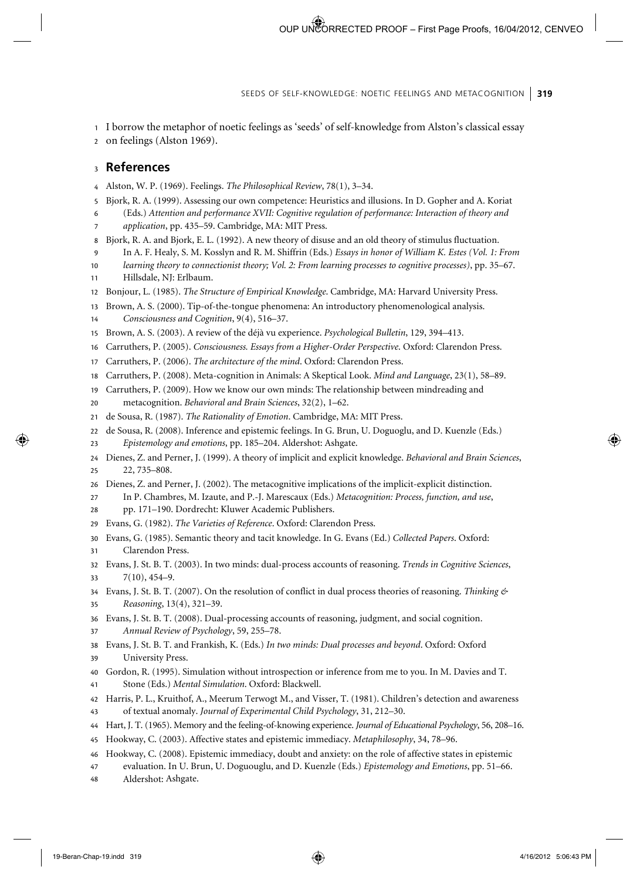1 I borrow the metaphor of noetic feelings as 'seeds' of self-knowledge from Alston's classical essay

2 on feelings (Alston 1969).

#### 3  **References**

4 Alston, W. P. (1969). Feelings. The Philosophical Review, 78(1), 3-34.

6 5 Bjork , R. A. ( 1999 ). Assessing our own competence: Heuristics and illusions . In D. Gopher and A. Koriat (Eds.) *Attention and performance XVII: Cognitive regulation of performance: Interaction of theory and* 

- 7 application, pp. 435-59. Cambridge, MA: MIT Press.
- 8 Bjork , R. A. and Bjork , E. L. ( 1992 ). A new theory of disuse and an old theory of stimulus fluctuation .
- $\epsilon$ In A. F. Healy , S. M. Kosslyn and R. M. Shiffrin (Eds.) *Essays in honor of William K. Estes (Vol. 1: From*
- 10 *learning theory to connectionist theory; Vol. 2: From learning processes to cognitive processes*), pp. 35–67.
- 11 Hillsdale, NJ: Erlbaum.
- 12 Bonjour, L. (1985). *The Structure of Empirical Knowledge*. Cambridge, MA: Harvard University Press.
- 14 13 Brown, A. S. (2000). Tip-of-the-tongue phenomena: An introductory phenomenological analysis. *Consciousness and Cognition*, 9(4), 516-37.
- 15 Brown, A. S. (2003). A review of the déjà vu experience. *Psychological Bulletin*, 129, 394-413.
- 16 Carruthers, P. (2005). *Consciousness. Essays from a Higher-Order Perspective*. Oxford: Clarendon Press.
- 17 Carruthers, P. (2006). *The architecture of the mind*. Oxford: Clarendon Press.
- 18 Carruthers , P. ( 2008 ). Meta-cognition in Animals: A Skeptical Look . *Mind and Language* , 23 ( 1 ), 58 – 89 .
- 20 19 Carruthers , P. ( 2009 ). How we know our own minds: The relationship between mindreading and metacognition. *Behavioral and Brain Sciences*, 32(2), 1-62.
- 21 de Sousa, R. (1987). *The Rationality of Emotion*. Cambridge, MA: MIT Press.
- 23 22 de Sousa, R. (2008). Inference and epistemic feelings. In G. Brun, U. Doguoglu, and D. Kuenzle (Eds.) Epistemology and emotions, pp. 185-204. Aldershot: Ashgate.
- 25 24 Dienes, Z. and Perner, J. (1999). A theory of implicit and explicit knowledge. *Behavioral and Brain Sciences*, 22, 735-808.
- 26 Dienes, Z. and Perner, J. (2002). The metacognitive implications of the implicit-explicit distinction.
	- In P. Chambres, M. Izaute, and P.-J. Marescaux (Eds.) *Metacognition: Process, function, and use*,
- 28 pp. 171-190. Dordrecht: Kluwer Academic Publishers.
- 29 Evans, G. (1982). *The Varieties of Reference*. Oxford: Clarendon Press.
- 31 30 Evans , G. ( 1985 ). Semantic theory and tacit knowledge . In G. Evans (Ed.) *Collected Papers* . Oxford : Clarendon Press .
- 33 32 Evans , J. St. B. T. ( 2003 ). In two minds: dual-process accounts of reasoning . *Trends in Cognitive Sciences* ,  $7(10)$ , 454-9.
- 35 34 Evans, J. St. B. T. (2007). On the resolution of conflict in dual process theories of reasoning. Thinking  $\&$ *Reasoning*, 13(4), 321-39.
- 37 36 Evans, J. St. B. T. (2008). Dual-processing accounts of reasoning, judgment, and social cognition. Annual Review of Psychology, 59, 255-78.
- 39 38 Evans, J. St. B. T. and Frankish, K. (Eds.) In two minds: Dual processes and beyond. Oxford: Oxford University Press .
- 41 40 Gordon , R. ( 1995 ). Simulation without introspection or inference from me to you . In M. Davies and T. Stone (Eds.) Mental Simulation. Oxford: Blackwell.
- 43 42 Harris, P. L., Kruithof, A., Meerum Terwogt M., and Visser, T. (1981). Children's detection and awareness of textual anomaly. *Journal of Experimental Child Psychology*, 31, 212-30.
- 44 Hart , J. T. ( 1965 ). Memory and the feeling-of-knowing experience . *Journal of Educational Psychology* , 56 , 208 – 16 .
- 45 Hookway, C. (2003). Affective states and epistemic immediacy. *Metaphilosophy*, 34, 78–96.
- 46 Hookway , C. ( 2008 ). Epistemic immediacy, doubt and anxiety: on the role of affective states in epistemic
- 47 evaluation. In U. Brun, U. Doguouglu, and D. Kuenzle (Eds.) *Epistemology and Emotions*, pp. 51-66.
- 48 Aldershot: Ashgate.

 $27$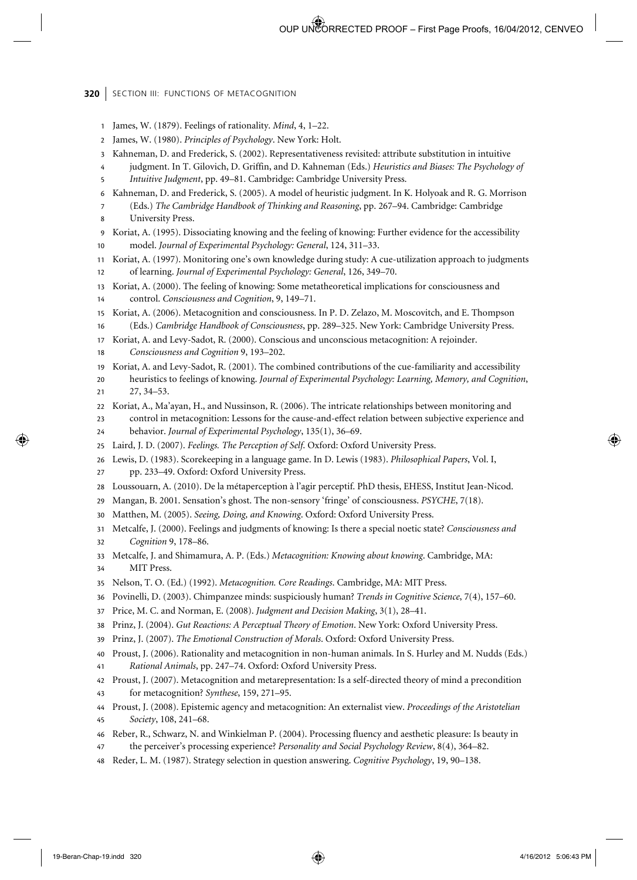5 4

- 1 James, W. (1879). Feelings of rationality. Mind, 4, 1-22.
- 2 James, W. (1980). *Principles of Psychology*. New York: Holt.
- 3 Kahneman, D. and Frederick, S. (2002). Representativeness revisited: attribute substitution in intuitive
	- judgment. In T. Gilovich, D. Griffin, and D. Kahneman (Eds.) *Heuristics and Biases: The Psychology of* Intuitive Judgment, pp. 49-81. Cambridge: Cambridge University Press.
- 6 Kahneman, D. and Frederick, S. (2005). A model of heuristic judgment. In K. Holyoak and R. G. Morrison
- 8 7 (Eds.) The Cambridge Handbook of Thinking and Reasoning, pp. 267-94. Cambridge: Cambridge University Press.
- 9 Koriat, A. (1995). Dissociating knowing and the feeling of knowing: Further evidence for the accessibility
- 10 model. *Journal of Experimental Psychology: General*, 124, 311–33.
- 12 11 Koriat, A. (1997). Monitoring one's own knowledge during study: A cue-utilization approach to judgments of learning. *Journal of Experimental Psychology: General*, 126, 349-70.
- 14 13 Koriat, A. (2000). The feeling of knowing: Some metatheoretical implications for consciousness and control. *Consciousness and Cognition*, 9, 149-71.
- 16 15 Koriat, A. (2006). Metacognition and consciousness. In P. D. Zelazo, M. Moscovitch, and E. Thompson (Eds.) *Cambridge Handbook of Consciousness* , pp. 289 – 325 . New York : Cambridge University Press .
- 17 Koriat, A. and Levy-Sadot, R. (2000). Conscious and unconscious metacognition: A rejoinder.
- 18 *Consciousness and Cognition* 9, 193-202.
- 21 20 19 Koriat, A. and Levy-Sadot, R. (2001). The combined contributions of the cue-familiarity and accessibility heuristics to feelings of knowing . *Journal of Experimental Psychology: Learning, Memory, and Cognition* , 27, 34–53.
- 23 22 Koriat, A., Ma'ayan, H., and Nussinson, R. (2006). The intricate relationships between monitoring and control in metacognition: Lessons for the cause-and-effect relation between subjective experience and
- 24 behavior. *Journal of Experimental Psychology*, 135(1), 36-69.
- 25 Laird, J. D. (2007). *Feelings. The Perception of Self.* Oxford: Oxford University Press.
- 27 26 Lewis, D. (1983). Scorekeeping in a language game. In D. Lewis (1983). *Philosophical Papers*, Vol. I, pp. 233-49. Oxford: Oxford University Press.
- 28 Loussouarn, A. (2010). De la métaperception à l'agir perceptif. PhD thesis, EHESS, Institut Jean-Nicod.
- 29 Mangan, B. 2001. Sensation's ghost. The non-sensory 'fringe' of consciousness. PSYCHE, 7(18).
- 30 Matthen, M. (2005). Seeing, Doing, and Knowing. Oxford: Oxford University Press.
- 32 31 Metcalfe , J. ( 2000 ). Feelings and judgments of knowing: Is there a special noetic state? *Consciousness and Cognition* 9, 178-86.
- 34 33 Metcalfe , J. and Shimamura , A. P. (Eds.) *Metacognition: Knowing about knowing* . Cambridge, MA : MIT Press .
- 35 Nelson, T. O. (Ed.) (1992). *Metacognition. Core Readings*. Cambridge, MA: MIT Press.
- 36 Povinelli, D. (2003). Chimpanzee minds: suspiciously human? *Trends in Cognitive Science*, 7(4), 157-60.
- 37 Price, M. C. and Norman, E. (2008). *Judgment and Decision Making*, 3(1), 28-41.
- 38 Prinz, J. (2004). *Gut Reactions: A Perceptual Theory of Emotion*. New York: Oxford University Press.
- 39 Prinz, J. (2007). *The Emotional Construction of Morals*. Oxford: Oxford University Press.
- 41 40 Proust, J. (2006). Rationality and metacognition in non-human animals. In S. Hurley and M. Nudds (Eds.) *Rational Animals, pp. 247-74. Oxford: Oxford University Press.*
- 42
- 43 Proust , J. ( 2007 ). Metacognition and metarepresentation: Is a self-directed theory of mind a precondition for metacognition? Synthese, 159, 271-95.
- 45 44 Proust , J. ( 2008 ). Epistemic agency and metacognition: An externalist view . *Proceedings of the Aristotelian Society*, 108, 241–68.
- 47 46 Reber, R., Schwarz, N. and Winkielman P. (2004). Processing fluency and aesthetic pleasure: Is beauty in the perceiver's processing experience? *Personality and Social Psychology Review*, 8(4), 364–82.
- 48 Reder, L. M. (1987). Strategy selection in question answering. *Cognitive Psychology*, 19, 90–138.